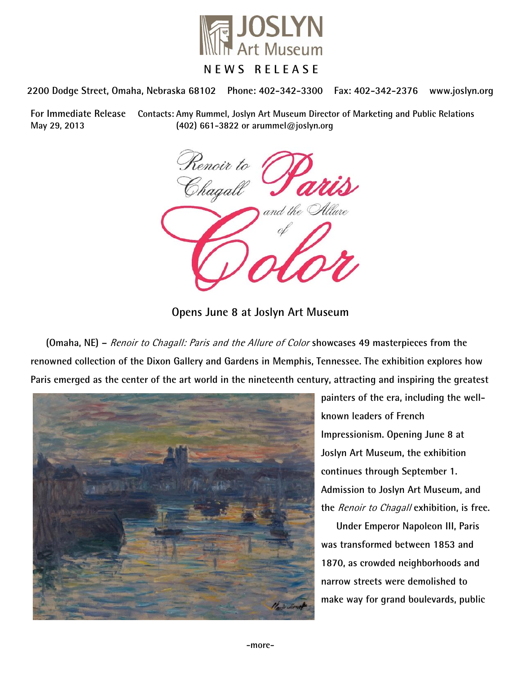

# **NEWS RELEASE**

**2200 Dodge Street, Omaha, Nebraska 68102 Phone: 402-342-3300 Fax: 402-342-2376 www.joslyn.org**

**For Immediate Release Contacts: Amy Rummel, Joslyn Art Museum Director of Marketing and Public Relations May 29, 2013 (402) 661-3822 or arummel@joslyn.org**

Renoir to<br>Chagall and the

**Opens June 8 at Joslyn Art Museum**

**(Omaha, NE) –** Renoir to Chagall: Paris and the Allure of Color **showcases 49 masterpieces from the renowned collection of the Dixon Gallery and Gardens in Memphis, Tennessee. The exhibition explores how Paris emerged as the center of the art world in the nineteenth century, attracting and inspiring the greatest** 



**painters of the era, including the wellknown leaders of French Impressionism. Opening June 8 at Joslyn Art Museum, the exhibition continues through September 1. Admission to Joslyn Art Museum, and the** Renoir to Chagall **exhibition, is free.**

**Under Emperor Napoleon III, Paris was transformed between 1853 and 1870, as crowded neighborhoods and narrow streets were demolished to make way for grand boulevards, public**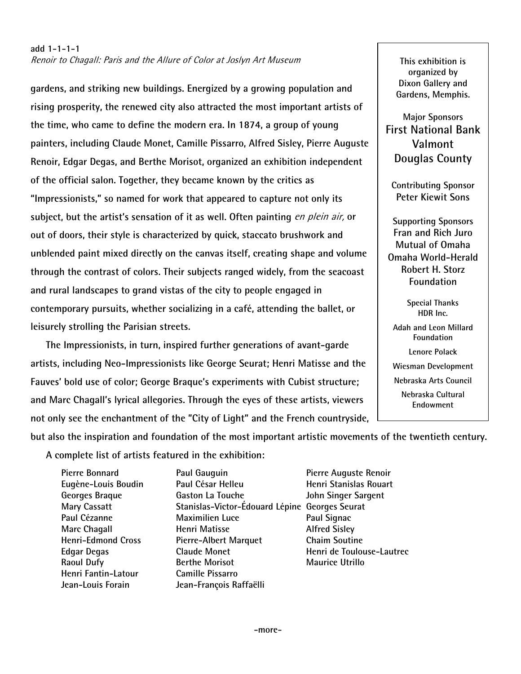# **add 1-1-1-1** Renoir to Chagall: Paris and the Allure of Color at Joslyn Art Museum

**gardens, and striking new buildings. Energized by a growing population and rising prosperity, the renewed city also attracted the most important artists of the time, who came to define the modern era. In 1874, a group of young painters, including Claude Monet, Camille Pissarro, Alfred Sisley, Pierre Auguste Renoir, Edgar Degas, and Berthe Morisot, organized an exhibition independent of the official salon. Together, they became known by the critics as "Impressionists," so named for work that appeared to capture not only its subject, but the artist's sensation of it as well. Often painting** en plein air, **or out of doors, their style is characterized by quick, staccato brushwork and unblended paint mixed directly on the canvas itself, creating shape and volume through the contrast of colors. Their subjects ranged widely, from the seacoast and rural landscapes to grand vistas of the city to people engaged in contemporary pursuits, whether socializing in a café, attending the ballet, or leisurely strolling the Parisian streets.**

**The Impressionists, in turn, inspired further generations of avant-garde artists, including Neo-Impressionists like George Seurat; Henri Matisse and the Fauves' bold use of color; George Braque's experiments with Cubist structure; and Marc Chagall's lyrical allegories. Through the eyes of these artists, viewers not only see the enchantment of the "City of Light" and the French countryside,** 

**This exhibition is organized by Dixon Gallery and Gardens, Memphis.**

**Major Sponsors First National Bank Valmont Douglas County**

**Contributing Sponsor Peter Kiewit Sons**

**Supporting Sponsors Fran and Rich Juro Mutual of Omaha Omaha World-Herald Robert H. Storz Foundation**

> **Special Thanks HDR Inc.**

**Adah and Leon Millard Foundation Lenore Polack Wiesman Development Nebraska Arts Council Nebraska Cultural Endowment**

**but also the inspiration and foundation of the most important artistic movements of the twentieth century.** 

**A complete list of artists featured in the exhibition:**

| <b>Pierre Bonnard</b>     | Paul Gauguin                                   | Pierre Auguste Renoir     |
|---------------------------|------------------------------------------------|---------------------------|
| Eugène-Louis Boudin       | Paul César Helleu                              | Henri Stanislas Rouart    |
| Georges Braque            | Gaston La Touche                               | John Singer Sargent       |
| <b>Mary Cassatt</b>       | Stanislas-Victor-Édouard Lépine Georges Seurat |                           |
| Paul Cézanne              | <b>Maximilien Luce</b>                         | Paul Signac               |
| <b>Marc Chagall</b>       | Henri Matisse                                  | <b>Alfred Sisley</b>      |
| <b>Henri-Edmond Cross</b> | <b>Pierre-Albert Marquet</b>                   | <b>Chaim Soutine</b>      |
| <b>Edgar Degas</b>        | <b>Claude Monet</b>                            | Henri de Toulouse-Lautrec |
| <b>Raoul Dufy</b>         | <b>Berthe Morisot</b>                          | <b>Maurice Utrillo</b>    |
| Henri Fantin-Latour       | <b>Camille Pissarro</b>                        |                           |
| Jean-Louis Forain         | Jean-François Raffaëlli                        |                           |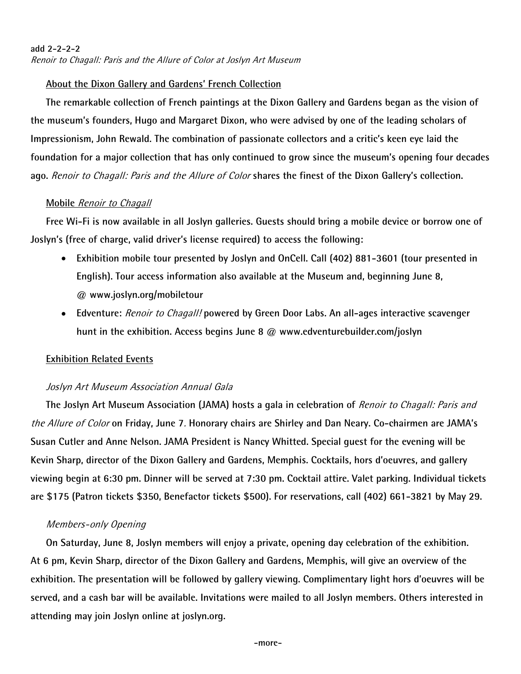# **add 2-2-2-2** Renoir to Chagall: Paris and the Allure of Color at Joslyn Art Museum

# **About the Dixon Gallery and Gardens' French Collection**

**The remarkable collection of French paintings at the Dixon Gallery and Gardens began as the vision of the museum's founders, Hugo and Margaret Dixon, who were advised by one of the leading scholars of Impressionism, John Rewald. The combination of passionate collectors and a critic's keen eye laid the foundation for a major collection that has only continued to grow since the museum's opening four decades ago.** Renoir to Chagall: Paris and the Allure of Color **shares the finest of the Dixon Gallery's collection.**

# **Mobile** Renoir to Chagall

**Free Wi-Fi is now available in all Joslyn galleries. Guests should bring a mobile device or borrow one of Joslyn's (free of charge, valid driver's license required) to access the following:**

- **Exhibition mobile tour presented by Joslyn and OnCell. Call (402) 881-3601 (tour presented in English). Tour access information also available at the Museum and, beginning June 8, @ www.joslyn.org/mobiletour**
- **Edventure:** Renoir to Chagall! **powered by Green Door Labs. An all-ages interactive scavenger hunt in the exhibition. Access begins June 8 @ www.edventurebuilder.com/joslyn**

# **Exhibition Related Events**

# Joslyn Art Museum Association Annual Gala

**The Joslyn Art Museum Association (JAMA) hosts a gala in celebration of** Renoir to Chagall: Paris and the Allure of Color **on Friday, June 7**. **Honorary chairs are Shirley and Dan Neary. Co-chairmen are JAMA's Susan Cutler and Anne Nelson. JAMA President is Nancy Whitted. Special guest for the evening will be Kevin Sharp, director of the Dixon Gallery and Gardens, Memphis. Cocktails, hors d'oeuvres, and gallery viewing begin at 6:30 pm. Dinner will be served at 7:30 pm. Cocktail attire. Valet parking. Individual tickets are \$175 (Patron tickets \$350, Benefactor tickets \$500). For reservations, call (402) 661-3821 by May 29.**

# Members-only Opening

**On Saturday, June 8, Joslyn members will enjoy a private, opening day celebration of the exhibition. At 6 pm, Kevin Sharp, director of the Dixon Gallery and Gardens, Memphis, will give an overview of the exhibition. The presentation will be followed by gallery viewing. Complimentary light hors d'oeuvres will be served, and a cash bar will be available. Invitations were mailed to all Joslyn members. Others interested in attending may join Joslyn online at joslyn.org.**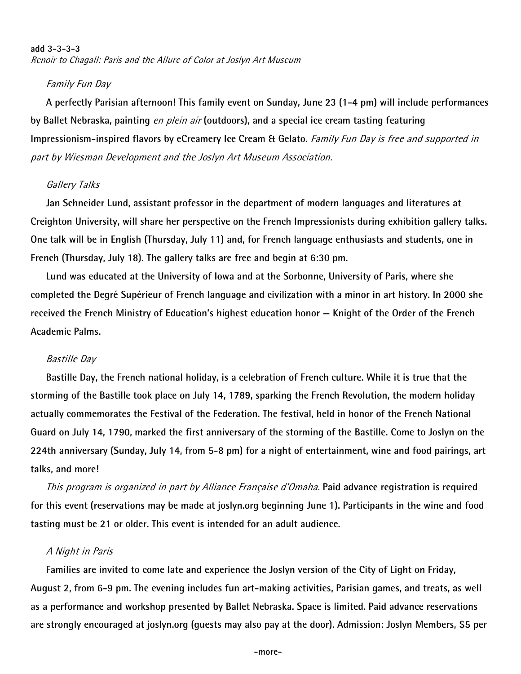### **add 3-3-3-3** Renoir to Chagall: Paris and the Allure of Color at Joslyn Art Museum

### Family Fun Day

**A perfectly Parisian afternoon! This family event on Sunday, June 23 (1-4 pm) will include performances by Ballet Nebraska, painting** en plein air **(outdoors), and a special ice cream tasting featuring Impressionism-inspired flavors by eCreamery Ice Cream & Gelato.** Family Fun Day is free and supported in part by Wiesman Development and the Joslyn Art Museum Association.

### Gallery Talks

**Jan Schneider Lund, assistant professor in the department of modern languages and literatures at Creighton University, will share her perspective on the French Impressionists during exhibition gallery talks. One talk will be in English (Thursday, July 11) and, for French language enthusiasts and students, one in French (Thursday, July 18). The gallery talks are free and begin at 6:30 pm.** 

**Lund was educated at the University of Iowa and at the Sorbonne, University of Paris, where she completed the Degré Supérieur of French language and civilization with a minor in art history. In 2000 she received the French Ministry of Education's highest education honor — Knight of the Order of the French Academic Palms.**

#### Bastille Day

**Bastille Day, the French national holiday, is a celebration of French culture. While it is true that the storming of the Bastille took place on July 14, 1789, sparking the French Revolution, the modern holiday actually commemorates the Festival of the Federation. The festival, held in honor of the French National Guard on July 14, 1790, marked the first anniversary of the storming of the Bastille. Come to Joslyn on the 224th anniversary (Sunday, July 14, from 5-8 pm) for a night of entertainment, wine and food pairings, art talks, and more!**

This program is organized in part by Alliance Française d'Omaha. **Paid advance registration is required for this event (reservations may be made at joslyn.org beginning June 1). Participants in the wine and food tasting must be 21 or older. This event is intended for an adult audience.**

#### A Night in Paris

**Families are invited to come late and experience the Joslyn version of the City of Light on Friday, August 2, from 6-9 pm. The evening includes fun art-making activities, Parisian games, and treats, as well as a performance and workshop presented by Ballet Nebraska. Space is limited. Paid advance reservations are strongly encouraged at joslyn.org (guests may also pay at the door). Admission: Joslyn Members, \$5 per**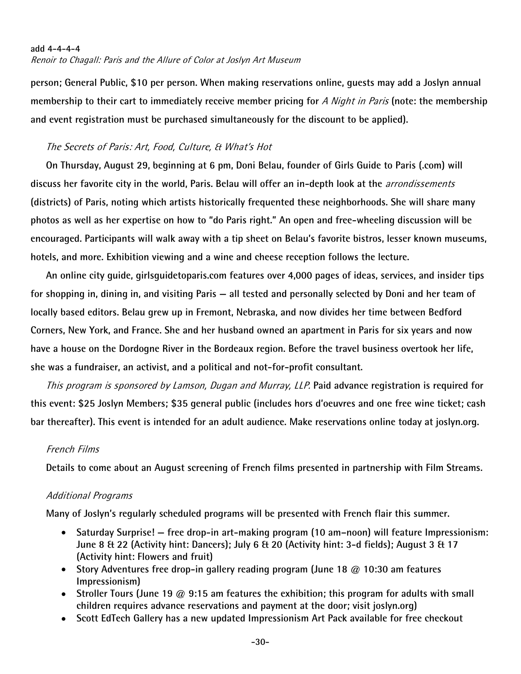#### **add 4-4-4-4**

Renoir to Chagall: Paris and the Allure of Color at Joslyn Art Museum

**person; General Public, \$10 per person. When making reservations online, guests may add a Joslyn annual membership to their cart to immediately receive member pricing for** A Night in Paris **(note: the membership and event registration must be purchased simultaneously for the discount to be applied).**

# The Secrets of Paris: Art, Food, Culture, & What's Hot

**On Thursday, August 29, beginning at 6 pm, Doni Belau, founder of Girls Guide to Paris (.com) will discuss her favorite city in the world, Paris. Belau will offer an in-depth look at the** arrondissements **(districts) of Paris, noting which artists historically frequented these neighborhoods. She will share many photos as well as her expertise on how to "do Paris right." An open and free-wheeling discussion will be encouraged. Participants will walk away with a tip sheet on Belau's favorite bistros, lesser known museums, hotels, and more. Exhibition viewing and a wine and cheese reception follows the lecture.**

**An online city guide, girlsguidetoparis.com features over 4,000 pages of ideas, services, and insider tips for shopping in, dining in, and visiting Paris — all tested and personally selected by Doni and her team of locally based editors. Belau grew up in Fremont, Nebraska, and now divides her time between Bedford Corners, New York, and France. She and her husband owned an apartment in Paris for six years and now have a house on the Dordogne River in the Bordeaux region. Before the travel business overtook her life, she was a fundraiser, an activist, and a political and not-for-profit consultant.**

This program is sponsored by Lamson, Dugan and Murray, LLP. **Paid advance registration is required for this event: \$25 Joslyn Members; \$35 general public (includes hors d'oeuvres and one free wine ticket; cash bar thereafter). This event is intended for an adult audience. Make reservations online today at joslyn.org.** 

# French Films

**Details to come about an August screening of French films presented in partnership with Film Streams.**

#### Additional Programs

**Many of Joslyn's regularly scheduled programs will be presented with French flair this summer.** 

- **[Saturday Surprise!](http://www.joslyn.org/visit/kids-programs/) — free drop-in art-making program (10 am–noon) will feature Impressionism: June 8 & 22 (Activity hint: Dancers); July 6 & 20 (Activity hint: 3-d fields); August 3 & 17 (Activity hint: Flowers and fruit)**
- **[Story Adventures](http://www.joslyn.org/visit/kids-programs/) free drop-in gallery reading program (June 18 @ 10:30 am features Impressionism)**
- **[Stroller Tours](http://www.joslyn.org/visit/kids-programs/) (June 19 @ 9:15 am features the exhibition; this program for adults with small children requires advance reservations and payment at the door; visit joslyn.org)**
- **[Scott EdTech Gallery h](http://www.joslyn.org/education/scott-education-technology-gallery/)as a new updated Impressionism Art Pack available for free checkout**